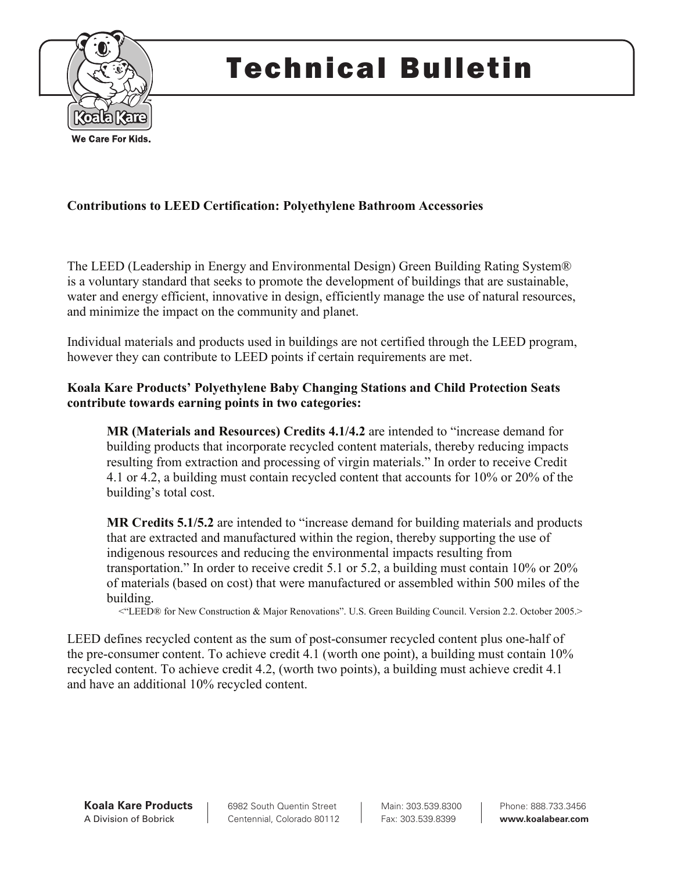

# Technical Bulletin

# **Contributions to LEED Certification: Polyethylene Bathroom Accessories**

The LEED (Leadership in Energy and Environmental Design) Green Building Rating System® is a voluntary standard that seeks to promote the development of buildings that are sustainable, water and energy efficient, innovative in design, efficiently manage the use of natural resources, and minimize the impact on the community and planet.

Individual materials and products used in buildings are not certified through the LEED program, however they can contribute to LEED points if certain requirements are met.

## **Koala Kare Products' Polyethylene Baby Changing Stations and Child Protection Seats contribute towards earning points in two categories:**

**MR (Materials and Resources) Credits 4.1/4.2** are intended to "increase demand for building products that incorporate recycled content materials, thereby reducing impacts resulting from extraction and processing of virgin materials." In order to receive Credit 4.1 or 4.2, a building must contain recycled content that accounts for 10% or 20% of the building's total cost.

**MR Credits 5.1/5.2** are intended to "increase demand for building materials and products that are extracted and manufactured within the region, thereby supporting the use of indigenous resources and reducing the environmental impacts resulting from transportation." In order to receive credit 5.1 or 5.2, a building must contain 10% or 20% of materials (based on cost) that were manufactured or assembled within 500 miles of the building.

<"LEED® for New Construction & Major Renovations". U.S. Green Building Council. Version 2.2. October 2005.>

LEED defines recycled content as the sum of post-consumer recycled content plus one-half of the pre-consumer content. To achieve credit 4.1 (worth one point), a building must contain 10% recycled content. To achieve credit 4.2, (worth two points), a building must achieve credit 4.1 and have an additional 10% recycled content.